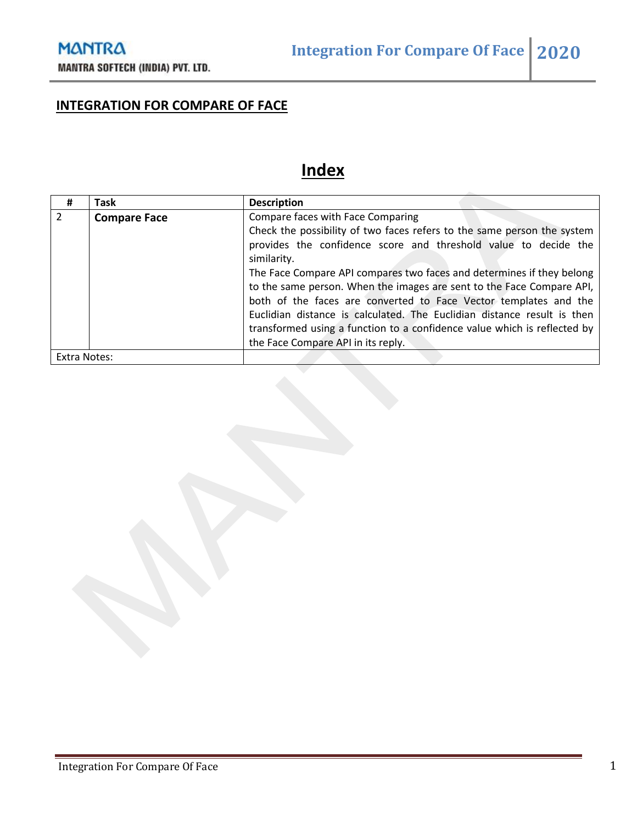## **INTEGRATION FOR COMPARE OF FACE**

# **Index**

| #             | Task                | <b>Description</b>                                                       |
|---------------|---------------------|--------------------------------------------------------------------------|
| $\mathcal{L}$ | <b>Compare Face</b> | Compare faces with Face Comparing                                        |
|               |                     | Check the possibility of two faces refers to the same person the system  |
|               |                     | provides the confidence score and threshold value to decide the          |
|               |                     | similarity.                                                              |
|               |                     | The Face Compare API compares two faces and determines if they belong    |
|               |                     | to the same person. When the images are sent to the Face Compare API,    |
|               |                     | both of the faces are converted to Face Vector templates and the         |
|               |                     | Euclidian distance is calculated. The Euclidian distance result is then  |
|               |                     | transformed using a function to a confidence value which is reflected by |
|               |                     | the Face Compare API in its reply.                                       |
| Extra Notes:  |                     |                                                                          |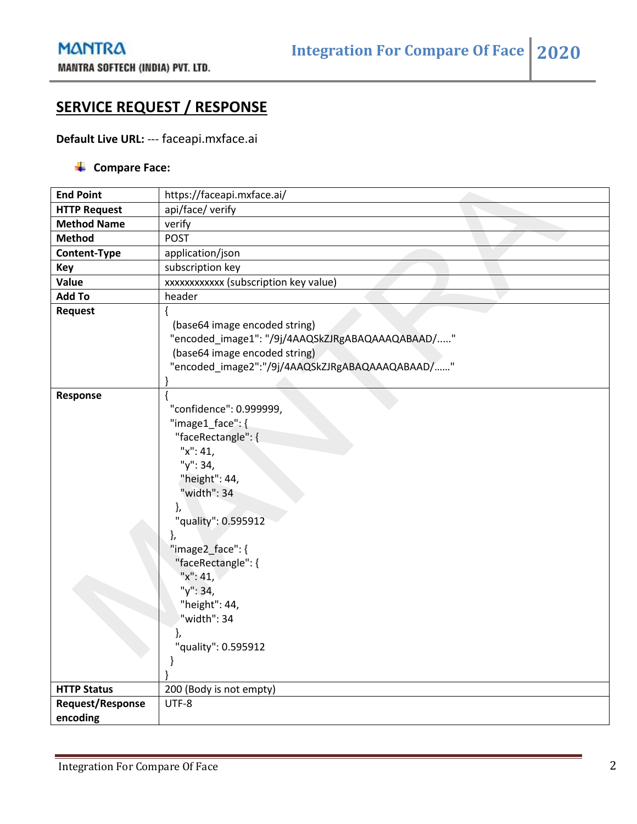### **SERVICE REQUEST / RESPONSE**

#### **Default Live URL:** --- faceapi.mxface.ai

#### **↓** Compare Face:

| <b>End Point</b>        | https://faceapi.mxface.ai/                                                                                                                                                                                                                                                                     |
|-------------------------|------------------------------------------------------------------------------------------------------------------------------------------------------------------------------------------------------------------------------------------------------------------------------------------------|
| <b>HTTP Request</b>     | api/face/ verify                                                                                                                                                                                                                                                                               |
| <b>Method Name</b>      | verify                                                                                                                                                                                                                                                                                         |
| <b>Method</b>           | <b>POST</b>                                                                                                                                                                                                                                                                                    |
| Content-Type            | application/json                                                                                                                                                                                                                                                                               |
| <b>Key</b>              | subscription key                                                                                                                                                                                                                                                                               |
| Value                   | xxxxxxxxxxx (subscription key value)                                                                                                                                                                                                                                                           |
| <b>Add To</b>           | header                                                                                                                                                                                                                                                                                         |
| <b>Request</b>          | (base64 image encoded string)<br>"encoded_image1": "/9j/4AAQSkZJRgABAQAAAQABAAD/"<br>(base64 image encoded string)<br>"encoded_image2":"/9j/4AAQSkZJRgABAQAAAQABAAD/"                                                                                                                          |
| Response                | "confidence": 0.999999,<br>"image1_face": {<br>"faceRectangle": {<br>"x": 41,<br>"y": 34,<br>"height": 44,<br>"width": 34<br>},<br>"quality": 0.595912<br>},<br>"image2_face": {<br>"faceRectangle": {<br>" $x$ ": 41,<br>"y": 34,<br>"height": 44,<br>"width": 34<br>"quality": 0.595912<br>} |
| <b>HTTP Status</b>      | 200 (Body is not empty)                                                                                                                                                                                                                                                                        |
| <b>Request/Response</b> | UTF-8                                                                                                                                                                                                                                                                                          |
| encoding                |                                                                                                                                                                                                                                                                                                |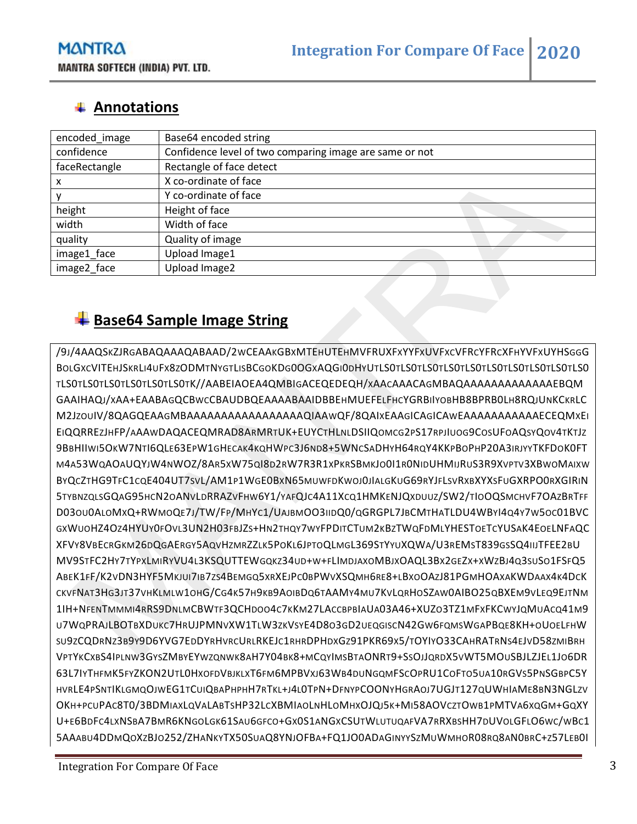### **Annotations**

| encoded image | Base64 encoded string                                   |
|---------------|---------------------------------------------------------|
| confidence    | Confidence level of two comparing image are same or not |
| faceRectangle | Rectangle of face detect                                |
| х             | X co-ordinate of face                                   |
|               | Y co-ordinate of face                                   |
| height        | Height of face                                          |
| width         | Width of face                                           |
| quality       | Quality of image                                        |
| image1_face   | Upload Image1                                           |
| image2 face   | Upload Image2                                           |

### **Base64 Sample Image String**

/9J/4AAQSKZJRGABAQAAAQABAAD/2WCEAAKGBXMTEHUTEHMVFRUXFXYYFXUVFXCVFRCYFRCXFHYVFXUYHSGGG BOLGXCVITEHJSKRLI4UFX8ZODMTNYGTLISBCGOKDG0OGXAQGI0DHYUTLS0TLS0TLS0TLS0TLS0TLS0TLS0TLS0TLS0TLS0 TLS0TLS0TLS0TLS0TLS0TLS0TK//AABEIAOEA4QMBIGACEQEDEQH/XAACAAACAGMBAQAAAAAAAAAAAAAEBQM GAAIHAQJ/XAA+EAABAGQCBWCCBAUDBQEAAAABAAIDBBEHMUEFELFHCYGRBIIYOBHB8BPRB0LH8RQJUNKCKRLC M2JZOUIV/8QAGQEAAGMBAAAAAAAAAAAAAAAAAQIAAWQF/8QAIXEAAGICAGICAWEAAAAAAAAAAAECEQMXEI EIQQRREZJHFP/AAAWDAQACEQMRAD8ARMRTUK+EUYCTHLNLDSIIQOMCG2PS17RPJIUOG9COSUFOAQSYQOV4TKTJZ 9BBHIIWI5OKW7NTI6QLE63EPW1GHECAK4KQHWPC3J6ND8+5WNCSADHYH64RQY4KKPBOPHP20A3IRJYYTKFDOK0FT M4A53WQAOAUQYJW4NWOZ/8AR5XW75QI8D2RW7R3R1XPKRSBMKJO0I1R0NIDUHMIJRUS3R9XVPTV3XBWOMAIXW BYQCZTHG9TFC1CQE404UT7SVL/AM1P1WGE0BXN65MUWFDKWOJ0JIALGKUG69RYJFLSVRXBXYXSFUGXRPO0RXGIRIN 5TYBNZQLSGQAG95HCN2OANVLDRRAZVFHW6Y1/YAFQJC4A11XCQ1HMKENJQXDUUZ/SW2/TIOOQSMCHVF7OAZBRTFF D03OU0ALOMXQ+RWMOQE7J/TW/FP/MHYC1/UAJBMOO3IIDQ0/QGRGPL7JBCMTHATLDU4WBYI4Q4Y7W5OC01BVC GXWUOHZ4OZ4HYUY0FOVL3UN2H03FBJZS+HN2THQY7WYFPDITCTUM2KBZTWQFDMLYHESTOETCYUSAK4EOELNFAQC XFVY8VBECRGKM26DQGAERGY5AQVHZMRZZLK5POKL6JPTOQLMGL369STYYUXQWA/U3REMST839GSSQ4IIJTFEE2BU MV9STFC2HY7TYPXLMIRYVU4L3KSQUTTEWGQKZ34UD+W+FLIMDJAXOMBJXOAQL3BX2GEZX+XWZBJ4Q3SUSO1FSFQ5 ABEK1FF/K2VDN3HYF5MKJUI7IB7ZS4BEMGQ5XRXEJPC0BPWVXSQMH6RE8+LBXOOAZJ81PGMHOAXAKWDAAX4K4DCK CKVFNAT3HG3JT37VHKLMLW1OHG/CG4K57H9KB9AOIBDQ6TAAMY4MU7KVLQRHOSZAW0AIBO25QBXEM9VLEQ9EJTNM 1IH+NFENTMMMI4RRS9DNLMCBWTF3QCHDOO4C7KKM27LACCBPBIAUA03A46+XUZO3TZ1MFXFKCWYJQMUACQ41M9 U7WQPRAJLBOTBXDUKC7HRUJPMNVXW1TLW3ZKVSYE4D8O3GD2UEQGISCN42GW6FQMSWGAPBQE8KH+OUOELFHW SU9ZCQDRNZ3B9Y9D6YVG7EDDYRHVRCURLRKEJC1RHRDPHDXGZ91PKR69X5/TOYIYO33CAHRATRNS4EJVD58ZMIBRH VPTYKCXBS4IPLNW3GYSZMBYEYWZQNWK8AH7Y04BK8+MCQYIMSBTAONRT9+SSOJJQRDX5VWT5MOUSBJLZJEL1JO6DR 63L7IYTHFMK5FYZKON2UTL0HXOFDVBJKLXT6FM6MPBVXJ63WB4DUNGQMFSCOPRU1COFTO5UA10RGVS5PNSGBPC5Y HVRLE4PSNTIKLGMQOJWEG1TCUIQBAPHPHH7RTKL+J4L0TPN+DFNYPCOONYHGRAOJ7UGJT127QUWHIAME8BN3NGLZV OKH+PCUPAC8T0/3BDMIAXLQVALABTSHP32LCXBMIAOLNHLOMHXOJQJ5K+MI58AOVCZTOWB1PMTVA6XQGM+GQXY U+E6BDFC4LXNSBA7BMR6KNGOLGK61SAU6GFCO+GX0S1ANGXCSUTWLUTUQAFVA7RRXBSHH7DUVOLGFLO6WC/WBC1 5AAABU4DDMQOXZBJO252/ZHANKYTX50SUAQ8YNJOFBA+FQ1JO0ADAGINYYSZMUWMHOR08RQ8AN0BRC+Z57LEB0I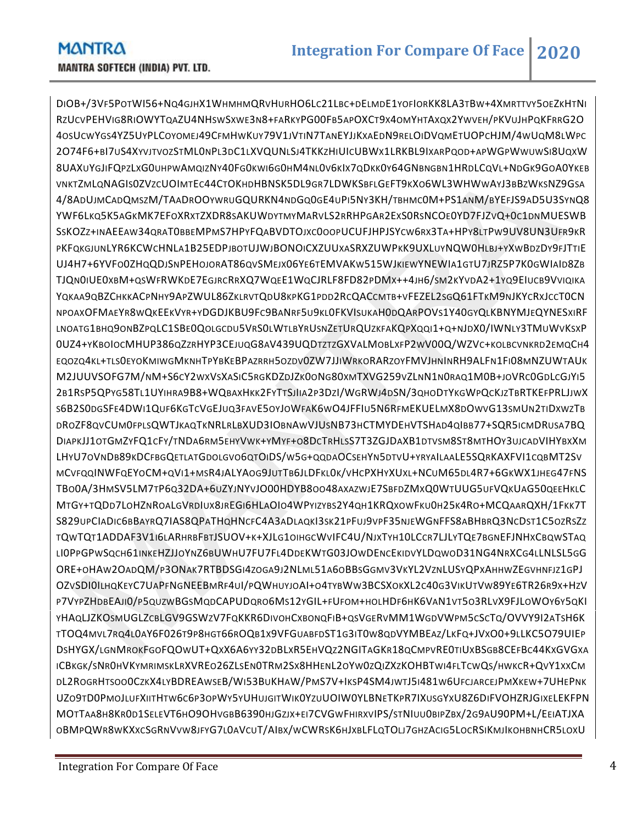DIOB+/3VF5POTWI56+NQ4GJHX1WHMHMQRVHURHO6LC21LBC+DELMDE1YOFIORKK8LA3TBW+4XMRTTVY5OEZKHTNI RZUCVPEHVIG8RIOWYTQAZU4NHSWSXWE3N8+FARKYPG00FB5APOXCT9X4OMYHTAXQX2YWVEH/PKVUJHPQKFRRG2O 4OSUCWYGS4YZ5UYPLCOYOMEJ49CFMHWKUY79V1JVTIN7TANEYJJKXAEDN9RELOIDVQMETUOPCHJM/4WUQM8LWPC 2O74F6+BI7US4XYVJTVOZSTML0NPL3DC1LXVQUNLSJ4TKKZHIUICUBWX1LRKBL9IXARPQOD+APWGPWWUWSI8UQXW 8UAXUYGJIFQPZLXG0UHPWAMQIZNY40FG0KWI6G0HM4NL0V6KIX7QDKK0Y64GNBNGBN1HRDLCQVL+NDGK9GOA0YKEB VNKTZMLQNAGIS0ZVZCUOIMTEC44CTOKHDHBNSK5DL9GR7LDWKSBFLGEFT9KXO6WL3WHWWAYJ3BBZWKSNZ9GSA 4/8ADUJMCADQMSZM/TAADROOYWRUGQURKN4NDGQ0GE4UPI5NY3KH/TBHMC0M+PS1ANM/BYEFJS9AD5U3SYNQ8 YWF6LKQ5K5AGKMK7EFOXRXTZXDR8SAKUWDYTMYMARVLS2RRHPGAR2EXS0RSNCOE0YD7FJZVQ+0C1DNMUESWB SSKOZZ+INAEEAW34QRAT0BBEMPMS7HPYFQABVDTOJXC0OOPUCUFJHPJSYCW6RX3TA+HPY8LTPW9UV8UN3UFR9KR PKFQKGJUNLYR6KCWCHNLA1B25EDPJBOTUJWJBONOICXZUUXASRXZUWPKK9UXLUYNQW0HLBJ+YXWBDZDY9FJTTIE UJ4H7+6YVFO0ZHQQDJSNPEHOJORAT86QVSMEJX06YE6TEMVAKW515WJKIEWYNEWIA1GTU7JRZ5P7K0GWIAID8ZB TJQN0IUE0XBM+QSWFRWKDE7EGJRCRRXQ7WQEE1WQCJRLF8FD82PDMX++4JH6/SM2KYVDA2+1YQ9EIUCB9VVIQIKA YQKAA9QBZCHKKACPNHY9APZWUL86ZKLRVTQDU8KPKG1PDD2RCQACCMTB+VFEZEL2SGQ61FTKM9NJKYCRXJCCT0CN NPOAXOFMAEYR8WQKEEKVYR+YDGDJKBU9FC9BANRF5U9KL0FKVISUKAH0DQARPOVS1Y40GYQLKBNYMJEQYNESXIRF LNOATG1BHQ9ONBZPQLC1SBE0QOLGCDU5VRS0LWTLBYRUSNZETURQUZKFAKQPXQQI1+Q+NJDX0/IWNLY3TMUWVKSXP 0UZ4+YKBOIOCMHUP386QZZRHYP3CEJUQG8AV439UQDTZTZGXVALMOBLXFP2WV00Q/WZVC+KOLBCVNKRD2EMQCH4 EQOZQ4KL+TLS0EYOKMIWGMKNHTPYBKEBPAZRRH5OZDV0ZW7JJIWRKORARZOYFMVJHNINRH9ALFN1FI08MNZUWTAUK M2JUUVSOFG7M/NM+S6CY2WXVSXASIC5RGKDZDJZK0ONG80XMTXVG259VZLNN1N0RAQ1M0B+JOVRC0GDLCGJYI5 2B1RSP5QPYG58TL1UYIHRA9B8+WQBAXHKK2FYTTSJIIA2P3DZI/WGRWJ4DSN/3QHODTYKGWPQCKJZTBRTKEFPRLJJWX S6B2S0DGSFE4DWI1QUF6KGTCVGEJUQ3FAVE5OYJOWFAK6WO4JFFIU5N6RFMEKUELMX8DOWVG13SMUN2TIDXWZTB DROZF8QVCUM0FPLSQWTJKAQTKNRLRLBXUD3IOBNAWVJUSNB73HCTMYDEHVTSHAD4QIBB77+SQR5ICMDRUSA7BQ DIAPKJJ1OTGMZYFQ1CFY/TNDA6RM5EHYVWK+YMYF+O8DCTRHLSS7T3ZGJDAXB1DTVSM8ST8MTHOY3UJCADVIHYBXXM LHYU7OVNDB89KDCFBGQETLATGDOLGVO6QTOIDS/W5G+QQDAOCSEHYN5DTVU+YRYAILAALE5SQRKAXFVI1CQBMT2SV MCVFQQINWFQEYOCM+QVI1+MSR4JALYAOG9JUTTB6JLDFKL0K/VHCPXHYXUXL+NCUM65DL4R7+6GKWX1JHEG47FNS TBO0A/3HMSV5LM7TP6Q32DA+6UZYJNYVJO00HDYB8OO48AXAZWJE7SBFDZMXQ0WTUUG5UFVQKUAG50QEEHKLC MTGY+TQDD7LOHZNROALGVRDIUX8JREGI6HLAOIO4WPYIZYBS2Y4QH1KRQXOWFKU0H25K4RO+MCQAARQXH/1FKK7T S829UPCIADIC6BBAYRQ7IAS8QPATHQHNCFC4A3ADLAQKI3SK21PFUJ9VPF35NJEWGNFFS8ABHBRQ3NCDST1C5OZRSZZ TQWTQT1ADDAF3V1I6LARHRBFBTJSUOV+K+XJLG1OIHGCWVIFC4U/NJXTYH10LCCR7LJLYTQE7BGNEFJNHXCBQWSTAQ LI0PPGPWSQCH61INKEHZJJOYNZ6BUWHU7FU7FL4DDEKWTG03JOWDENCEKIDVYLDQWOD31NG4NRXCG4LLNLSL5GG ORE+OHAW2OADQM/P3ONAK7RTBDSGI4ZOGA9J2NLML51A6OBBSGGMV3VKYL2VZNLUSYQPXAHHWZEGVHNFJZ1GPJ OZVSDI0ILHQKEYC7UAPFNGNEEBMRF4UI/PQWHUYJOAI+O4TYBWW3BCSXOKXL2C40G3VIKUTVW89YE6TR26R9X+HZV P7VYPZHDBEAJI0/P5QUZWBGSMQDCAPUDQRO6MS12YGIL+FUFOM+HOLHDF6HK6VAN1VT5O3RLVX9FJLOWOY6Y5QKI YHAQLJZKOSMUGLZCBLGV9GSWZV7FQKKR6DIVOHCXBONQFIB+QSVGERVMM1WGDVWPM5CSCTQ/OVVY9I2ATSH6K TTOQ4MVL7RQ4L0AY6F026T9P8HGT66ROQB1X9VFGUABFDST1G3IT0W8QDVYMBEAZ/LKFQ+JVXO0+9LLKC5O79UIEP DSHYGX/LGNMROKFGOFQOWUT+QXX6A6YY32DBLXR5EHVQZ2NGITAGKR18QCMPVRE0TIUXBSGB8CEFBC44KXGVGXA ICBKGK/SNR0HVKYMRIMSKLRXVREO26ZLSEN0TRM2SX8HHENL2OYW0ZQIZXZKOHBTWI4FLTCWQS/HWKCR+QVY1XXCM DL2ROGRHTSOO0CZKX4LYBDREAWSEB/WI53BUKHAW/PMS7V+IKSP4SM4JWTJ5I481W6UFCJARCEJPMXKEW+7UHEPNK UZO9TD0PMOJLUFXIITHTW6C6P3OPWY5YUHUJGITWIK0YZUUOIW0YLBNETKPR7IXUSGYXU8Z6DIFVOHZRJGIXELEKFPN MOTTAA8H8KR0D1SELEVT6HO9OHVGBB6390HJGZJX+EI7CVGWFHIRXVIPS/STNIUU0BIPZBX/2G9AU90PM+L/EEIATJXA OBMPQWR8WKXXCSGRNVVW8JFYG7L0AVCUT/AIBX/WCWRSK6HJXBLFLQTOLJ7GHZACIG5LOCRSIKMJIKOHBNHCR5LOXU